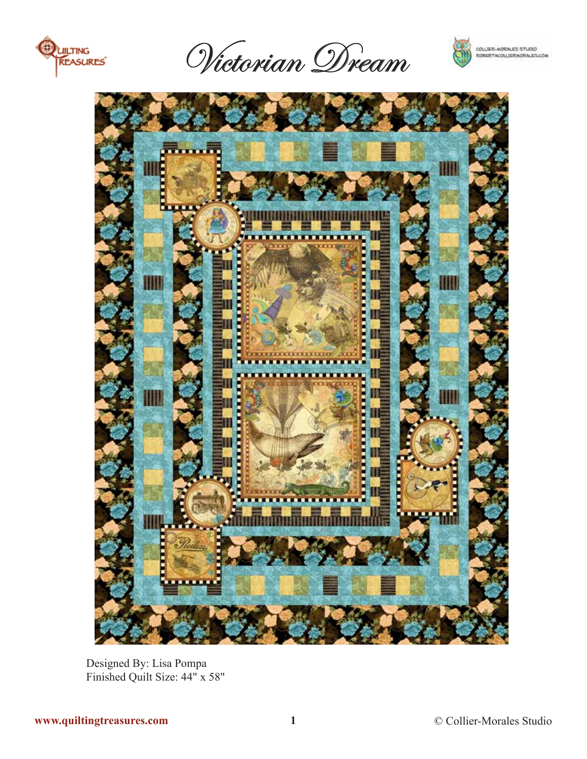

Victorian Dream





Designed By: Lisa Pompa Finished Quilt Size: 44" x 58"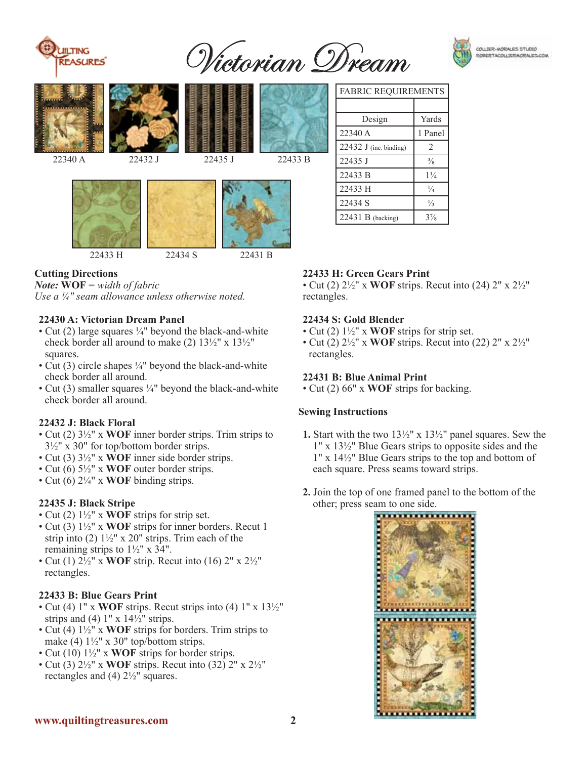

Victorian Dream



22433 H 22434 S 22431 B

# **Cutting Directions**

*Note:* **WOF** = *width of fabric*

*Use a ¼" seam allowance unless otherwise noted.*

### **22430 A: Victorian Dream Panel**

- Cut (2) large squares  $\frac{1}{4}$ " beyond the black-and-white check border all around to make (2) 13½" x 13½" squares.
- Cut (3) circle shapes  $\frac{1}{4}$ " beyond the black-and-white check border all around.
- Cut (3) smaller squares  $\frac{1}{4}$ " beyond the black-and-white check border all around.

#### **22432 J: Black Floral**

- Cut (2) 3½" x **WOF** inner border strips. Trim strips to  $3\frac{1}{2}$ " x 30" for top/bottom border strips.
- Cut (3) 3½" x **WOF** inner side border strips.
- Cut (6) 5½" x **WOF** outer border strips.
- Cut (6) 2¼" x **WOF** binding strips.

### **22435 J: Black Stripe**

- Cut (2) 1½" x **WOF** strips for strip set.
- Cut (3) 1½" x **WOF** strips for inner borders. Recut 1 strip into (2)  $1\frac{1}{2}$ " x 20" strips. Trim each of the remaining strips to  $1\frac{1}{2}$ " x  $3\frac{1}{4}$ ".
- Cut (1) 2½" x **WOF** strip. Recut into (16) 2" x 2½" rectangles.

## **22433 B: Blue Gears Print**

- Cut (4) 1" x **WOF** strips. Recut strips into (4) 1" x 13½" strips and (4)  $1" \times 14\frac{1}{2}"$  strips.
- Cut (4) 1½" x **WOF** strips for borders. Trim strips to make (4)  $1\frac{1}{2}$ " x 30" top/bottom strips.
- Cut (10) 1½" x **WOF** strips for border strips.
- Cut (3) 2½" x **WOF** strips. Recut into (32) 2" x 2½" rectangles and (4) 2½" squares.

| <b>FABRIC REQUIREMENTS</b> |                |
|----------------------------|----------------|
|                            |                |
| Design                     | Yards          |
| 22340 A                    | 1 Panel        |
| 22432 J (inc. binding)     | $\overline{c}$ |
| 22435 J                    | $\frac{3}{8}$  |
| 22433 B                    | $1\frac{1}{4}$ |
| 22433 H                    | $\frac{1}{4}$  |
| 22434 S                    | $\frac{1}{3}$  |
| 22431 B (backing)          | $3\frac{7}{8}$ |

## **22433 H: Green Gears Print**

• Cut (2) 2½" x **WOF** strips. Recut into (24) 2" x 2½" rectangles.

### **22434 S: Gold Blender**

- Cut (2) 1½" x **WOF** strips for strip set.
- Cut (2) 2½" x **WOF** strips. Recut into (22) 2" x 2½" rectangles.

#### **22431 B: Blue Animal Print**

• Cut (2) 66" x **WOF** strips for backing.

#### **Sewing Instructions**

- **1.** Start with the two 13½" x 13½" panel squares. Sew the 1" x 13½" Blue Gears strips to opposite sides and the 1" x 14½" Blue Gears strips to the top and bottom of each square. Press seams toward strips.
- **2.** Join the top of one framed panel to the bottom of the other; press seam to one side.



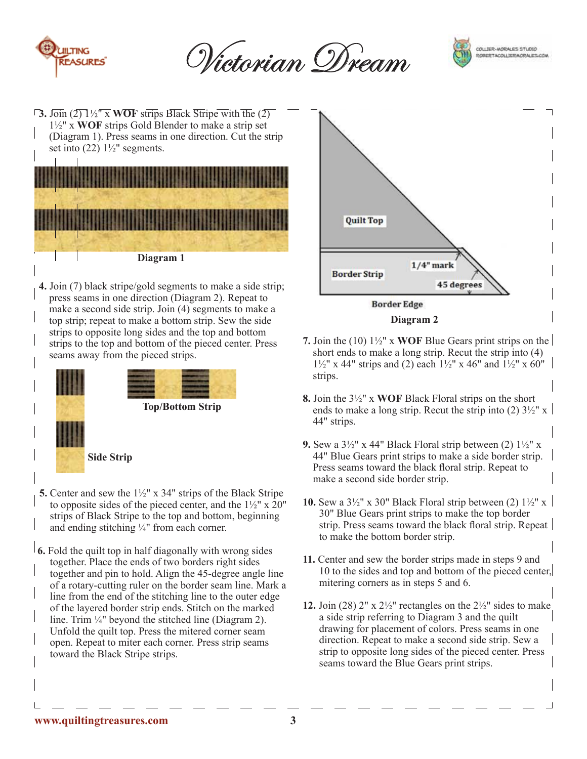

Victorian Dream

strips.



**3.** Join (2) 1½" x **WOF** strips Black Stripe with the (2) 1½" x **WOF** strips Gold Blender to make a strip set (Diagram 1). Press seams in one direction. Cut the strip set into  $(22)$  1<sup>1</sup>/<sub>2</sub>" segments.



**4.** Join (7) black stripe/gold segments to make a side strip; press seams in one direction (Diagram 2). Repeat to make a second side strip. Join (4) segments to make a top strip; repeat to make a bottom strip. Sew the side strips to opposite long sides and the top and bottom strips to the top and bottom of the pieced center. Press seams away from the pieced strips.



- **5.** Center and sew the 1½" x 34" strips of the Black Stripe to opposite sides of the pieced center, and the  $1\frac{1}{2}$ " x 20" strips of Black Stripe to the top and bottom, beginning and ending stitching ¼" from each corner.
- **6.** Fold the quilt top in half diagonally with wrong sides together. Place the ends of two borders right sides together and pin to hold. Align the 45-degree angle line of a rotary-cutting ruler on the border seam line. Mark a line from the end of the stitching line to the outer edge of the layered border strip ends. Stitch on the marked line. Trim ¼" beyond the stitched line (Diagram 2). Unfold the quilt top. Press the mitered corner seam open. Repeat to miter each corner. Press strip seams toward the Black Stripe strips.



- **7.** Join the (10) 1½" x **WOF** Blue Gears print strips on the short ends to make a long strip. Recut the strip into (4)  $1\frac{1}{2}$ " x 44" strips and (2) each  $1\frac{1}{2}$ " x 46" and  $1\frac{1}{2}$ " x 60"
- **8.** Join the 3½" x **WOF** Black Floral strips on the short ends to make a long strip. Recut the strip into (2)  $3\frac{1}{2}$ " x | 44" strips.
- **9.** Sew a  $3\frac{1}{2}$ " x 44" Black Floral strip between (2)  $1\frac{1}{2}$ " x 44" Blue Gears print strips to make a side border strip. Press seams toward the black floral strip. Repeat to make a second side border strip.
- **10.** Sew a  $3\frac{1}{2}$ " x 30" Black Floral strip between (2)  $1\frac{1}{2}$ " x | 30" Blue Gears print strips to make the top border strip. Press seams toward the black floral strip. Repeat to make the bottom border strip.
- **11.** Center and sew the border strips made in steps 9 and 10 to the sides and top and bottom of the pieced center, mitering corners as in steps 5 and 6.
- **12.** Join (28) 2" x  $2\frac{1}{2}$ " rectangles on the  $2\frac{1}{2}$ " sides to make a side strip referring to Diagram 3 and the quilt drawing for placement of colors. Press seams in one direction. Repeat to make a second side strip. Sew a strip to opposite long sides of the pieced center. Press seams toward the Blue Gears print strips.